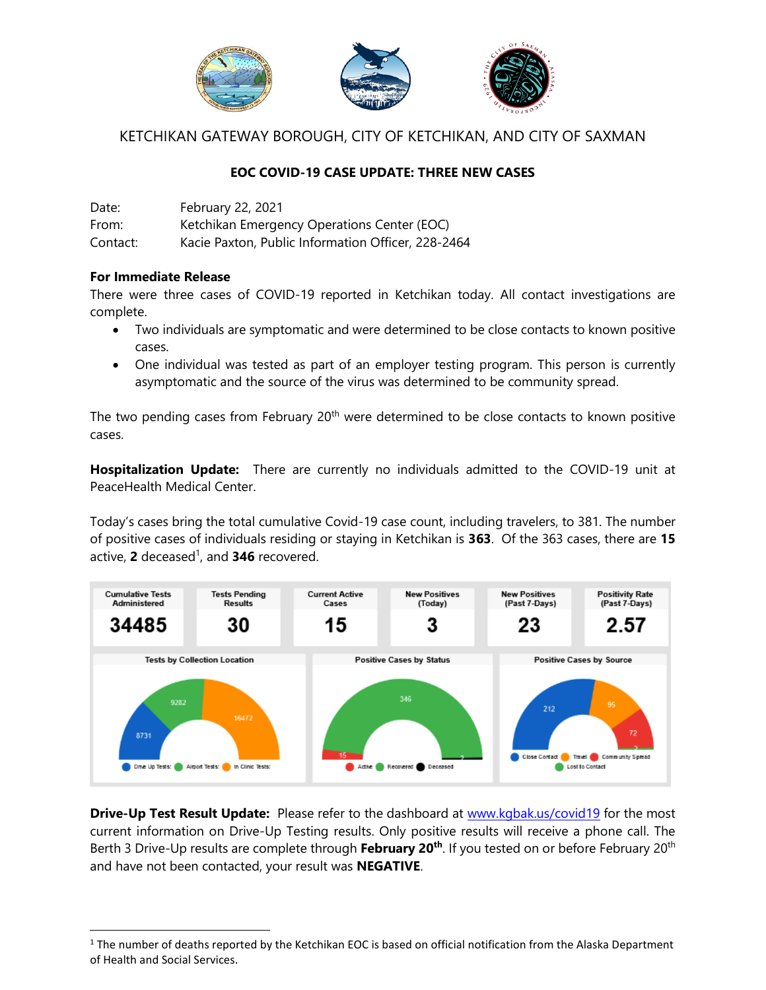

KETCHIKAN GATEWAY BOROUGH, CITY OF KETCHIKAN, AND CITY OF SAXMAN

## **EOC COVID-19 CASE UPDATE: THREE NEW CASES**

Date: February 22, 2021 From: Ketchikan Emergency Operations Center (EOC) Contact: Kacie Paxton, Public Information Officer, 228-2464

## **For Immediate Release**

l

There were three cases of COVID-19 reported in Ketchikan today. All contact investigations are complete.

- Two individuals are symptomatic and were determined to be close contacts to known positive cases.
- One individual was tested as part of an employer testing program. This person is currently asymptomatic and the source of the virus was determined to be community spread.

The two pending cases from February  $20<sup>th</sup>$  were determined to be close contacts to known positive cases.

**Hospitalization Update:** There are currently no individuals admitted to the COVID-19 unit at PeaceHealth Medical Center.

Today's cases bring the total cumulative Covid-19 case count, including travelers, to 381. The number of positive cases of individuals residing or staying in Ketchikan is **363**. Of the 363 cases, there are **15** active, **2** deceased 1 , and **346** recovered.



**Drive-Up Test Result Update:** Please refer to the dashboard at [www.kgbak.us/covid19](http://www.kgbak.us/covid19) for the most current information on Drive-Up Testing results. Only positive results will receive a phone call. The Berth 3 Drive-Up results are complete through **February 20th** . If you tested on or before February 20th and have not been contacted, your result was **NEGATIVE**.

 $1$  The number of deaths reported by the Ketchikan EOC is based on official notification from the Alaska Department of Health and Social Services.